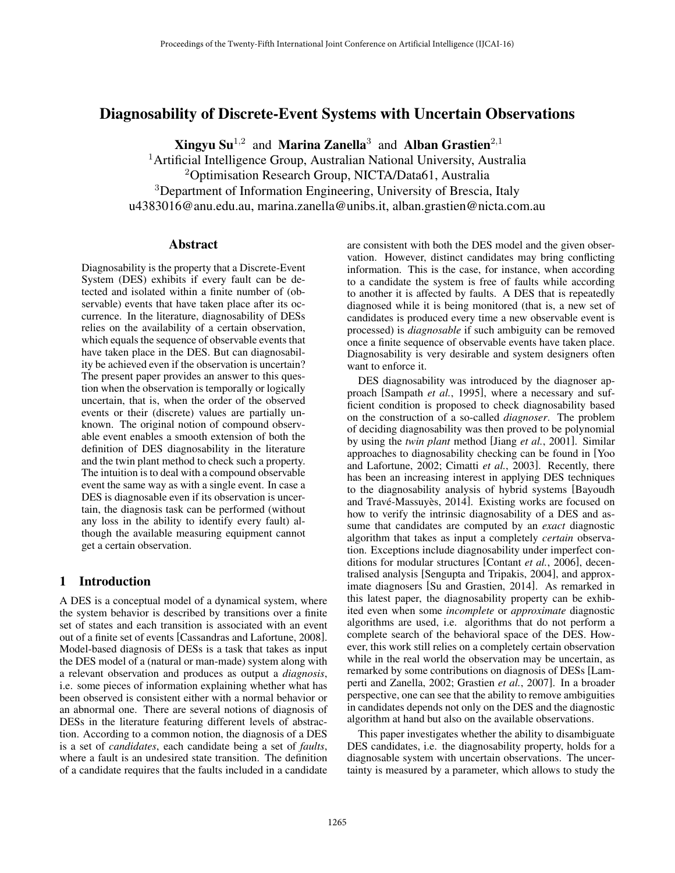# Diagnosability of Discrete-Event Systems with Uncertain Observations

**Xingyu Su**<sup>1,2</sup> and **Marina Zanella**<sup>3</sup> and **Alban Grastien**<sup>2,1</sup>

<sup>1</sup>Artificial Intelligence Group, Australian National University, Australia <sup>2</sup>Optimisation Research Group, NICTA/Data61, Australia <sup>3</sup>Department of Information Engineering, University of Brescia, Italy u4383016@anu.edu.au, marina.zanella@unibs.it, alban.grastien@nicta.com.au

## Abstract

Diagnosability is the property that a Discrete-Event System (DES) exhibits if every fault can be detected and isolated within a finite number of (observable) events that have taken place after its occurrence. In the literature, diagnosability of DESs relies on the availability of a certain observation, which equals the sequence of observable events that have taken place in the DES. But can diagnosability be achieved even if the observation is uncertain? The present paper provides an answer to this question when the observation is temporally or logically uncertain, that is, when the order of the observed events or their (discrete) values are partially unknown. The original notion of compound observable event enables a smooth extension of both the definition of DES diagnosability in the literature and the twin plant method to check such a property. The intuition is to deal with a compound observable event the same way as with a single event. In case a DES is diagnosable even if its observation is uncertain, the diagnosis task can be performed (without any loss in the ability to identify every fault) although the available measuring equipment cannot get a certain observation.

## 1 Introduction

A DES is a conceptual model of a dynamical system, where the system behavior is described by transitions over a finite set of states and each transition is associated with an event out of a finite set of events [Cassandras and Lafortune, 2008]. Model-based diagnosis of DESs is a task that takes as input the DES model of a (natural or man-made) system along with a relevant observation and produces as output a *diagnosis*, i.e. some pieces of information explaining whether what has been observed is consistent either with a normal behavior or an abnormal one. There are several notions of diagnosis of DESs in the literature featuring different levels of abstraction. According to a common notion, the diagnosis of a DES is a set of *candidates*, each candidate being a set of *faults*, where a fault is an undesired state transition. The definition of a candidate requires that the faults included in a candidate are consistent with both the DES model and the given observation. However, distinct candidates may bring conflicting information. This is the case, for instance, when according to a candidate the system is free of faults while according to another it is affected by faults. A DES that is repeatedly diagnosed while it is being monitored (that is, a new set of candidates is produced every time a new observable event is processed) is *diagnosable* if such ambiguity can be removed once a finite sequence of observable events have taken place. Diagnosability is very desirable and system designers often want to enforce it.

DES diagnosability was introduced by the diagnoser approach [Sampath *et al.*, 1995], where a necessary and sufficient condition is proposed to check diagnosability based on the construction of a so-called *diagnoser*. The problem of deciding diagnosability was then proved to be polynomial by using the *twin plant* method [Jiang *et al.*, 2001]. Similar approaches to diagnosability checking can be found in [Yoo and Lafortune, 2002; Cimatti *et al.*, 2003]. Recently, there has been an increasing interest in applying DES techniques to the diagnosability analysis of hybrid systems [Bayoudh and Travé-Massuyès, 2014]. Existing works are focused on how to verify the intrinsic diagnosability of a DES and assume that candidates are computed by an *exact* diagnostic algorithm that takes as input a completely *certain* observation. Exceptions include diagnosability under imperfect conditions for modular structures [Contant *et al.*, 2006], decentralised analysis [Sengupta and Tripakis, 2004], and approximate diagnosers [Su and Grastien, 2014]. As remarked in this latest paper, the diagnosability property can be exhibited even when some *incomplete* or *approximate* diagnostic algorithms are used, i.e. algorithms that do not perform a complete search of the behavioral space of the DES. However, this work still relies on a completely certain observation while in the real world the observation may be uncertain, as remarked by some contributions on diagnosis of DESs [Lamperti and Zanella, 2002; Grastien *et al.*, 2007]. In a broader perspective, one can see that the ability to remove ambiguities in candidates depends not only on the DES and the diagnostic algorithm at hand but also on the available observations.

This paper investigates whether the ability to disambiguate DES candidates, i.e. the diagnosability property, holds for a diagnosable system with uncertain observations. The uncertainty is measured by a parameter, which allows to study the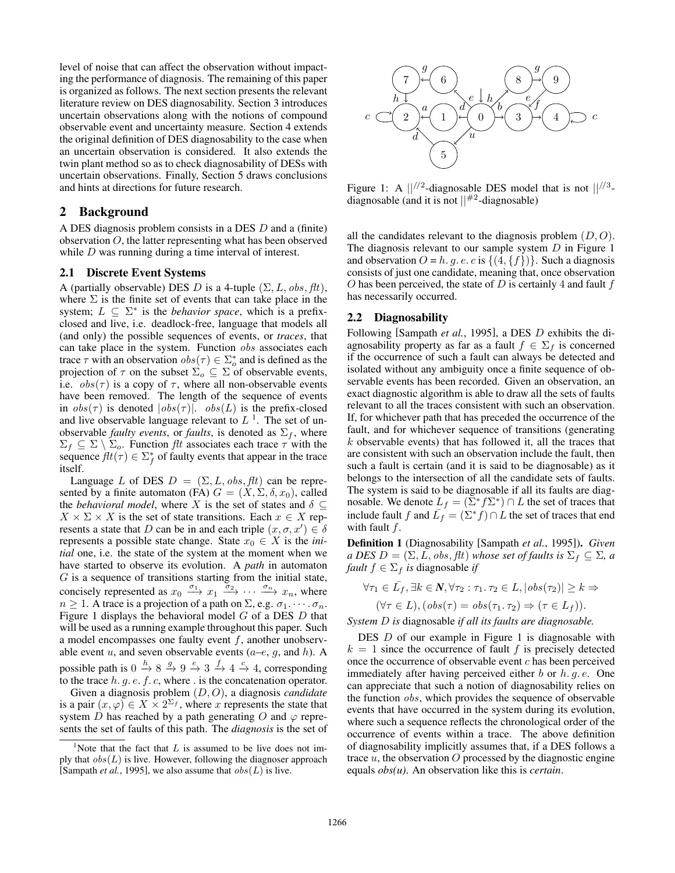level of noise that can affect the observation without impacting the performance of diagnosis. The remaining of this paper is organized as follows. The next section presents the relevant literature review on DES diagnosability. Section 3 introduces uncertain observations along with the notions of compound observable event and uncertainty measure. Section 4 extends the original definition of DES diagnosability to the case when an uncertain observation is considered. It also extends the twin plant method so as to check diagnosability of DESs with uncertain observations. Finally, Section 5 draws conclusions and hints at directions for future research.

## 2 Background

A DES diagnosis problem consists in a DES *D* and a (finite) observation *O*, the latter representing what has been observed while *D* was running during a time interval of interest.

## 2.1 Discrete Event Systems

A (partially observable) DES *D* is a 4-tuple  $(\Sigma, L, obs, \text{ft})$ , where  $\Sigma$  is the finite set of events that can take place in the system;  $L \subseteq \Sigma^*$  is the *behavior space*, which is a prefixclosed and live, i.e. deadlock-free, language that models all (and only) the possible sequences of events, or *traces*, that can take place in the system. Function *obs* associates each trace  $\tau$  with an observation  $obs(\tau) \in \sum_{o}^{*}$  and is defined as the projection of  $\tau$  on the subset  $\Sigma_o \subseteq \Sigma$  of observable events, i.e.  $obs(\tau)$  is a copy of  $\tau$ , where all non-observable events have been removed. The length of the sequence of events in  $obs(\tau)$  is denoted  $|obs(\tau)|$ .  $obs(L)$  is the prefix-closed and live observable language relevant to  $L<sup>1</sup>$ . The set of unobservable *faulty events*, or *faults*, is denoted as  $\Sigma_f$ , where  $\Sigma_f \subseteq \Sigma \setminus \Sigma_o$ . Function *flt* associates each trace  $\tau$  with the sequence  $ft(\tau) \in \sum_{f}^{*}$  of faulty events that appear in the trace itself.

Language *L* of DES  $D = (\Sigma, L, obs, \text{ft})$  can be represented by a finite automaton (FA)  $G = (X, \Sigma, \delta, x_0)$ , called the *behavioral model*, where X is the set of states and  $\delta \subset$  $X \times \Sigma \times X$  is the set of state transitions. Each  $x \in X$  represents a state that *D* can be in and each triple  $(x, \sigma, x') \in \delta$ represents a possible state change. State  $x_0 \in X$  is the *initial* one, i.e. the state of the system at the moment when we have started to observe its evolution. A *path* in automaton *G* is a sequence of transitions starting from the initial state, concisely represented as  $x_0 \xrightarrow{\sigma_1} x_1 \xrightarrow{\sigma_2} \cdots \xrightarrow{\sigma_n} x_n$ , where  $n \geq 1$ . A trace is a projection of a path on  $\Sigma$ , e.g.  $\sigma_1$ .  $\cdots$   $\sigma_n$ . Figure 1 displays the behavioral model *G* of a DES *D* that will be used as a running example throughout this paper. Such a model encompasses one faulty event *f*, another unobservable event *u*, and seven observable events  $(a-e, g, \text{ and } h)$ . A possible path is  $0 \xrightarrow{h} 8 \xrightarrow{g} 9 \xrightarrow{e} 3 \xrightarrow{f} 4 \xrightarrow{c} 4$ , corresponding to the trace *h. g. e. f. c*, where *.* is the concatenation operator. Given a diagnosis problem (*D, O*), a diagnosis *candidate* is a pair  $(x, \varphi) \in X \times 2^{\Sigma_f}$ , where *x* represents the state that

system *D* has reached by a path generating *O* and  $\varphi$  represents the set of faults of this path. The *diagnosis* is the set of



Figure 1: A *||//*<sup>2</sup>-diagnosable DES model that is not *||//*<sup>3</sup> diagnosable (and it is not *||*#2-diagnosable)

all the candidates relevant to the diagnosis problem (*D, O*). The diagnosis relevant to our sample system *D* in Figure 1 and observation  $O = h$ . g. e. c is  $\{(4, \{f\})\}$ . Such a diagnosis consists of just one candidate, meaning that, once observation *O* has been perceived, the state of *D* is certainly 4 and fault *f* has necessarily occurred.

#### 2.2 Diagnosability

Following [Sampath *et al.*, 1995], a DES *D* exhibits the diagnosability property as far as a fault  $f \in \Sigma_f$  is concerned if the occurrence of such a fault can always be detected and isolated without any ambiguity once a finite sequence of observable events has been recorded. Given an observation, an exact diagnostic algorithm is able to draw all the sets of faults relevant to all the traces consistent with such an observation. If, for whichever path that has preceded the occurrence of the fault, and for whichever sequence of transitions (generating *k* observable events) that has followed it, all the traces that are consistent with such an observation include the fault, then such a fault is certain (and it is said to be diagnosable) as it belongs to the intersection of all the candidate sets of faults. The system is said to be diagnosable if all its faults are diagnosable. We denote  $L_f = (\Sigma^* f \Sigma^*) \cap L$  the set of traces that include fault *f* and  $\overline{L}_f = (\Sigma^* f) \cap L$  the set of traces that end with fault *f*.

Definition 1 (Diagnosability [Sampath *et al.*, 1995]). *Given a DES*  $D = (\Sigma, L, obs, \text{ft})$  *whose set of faults is*  $\Sigma_f \subseteq \Sigma$ *, a fault*  $f \in \Sigma_f$  *is* diagnosable *if* 

$$
\forall \tau_1 \in \bar{L}_f, \exists k \in \mathbf{N}, \forall \tau_2 : \tau_1. \tau_2 \in L, |\text{obs}(\tau_2)| \geq k \Rightarrow
$$

$$
(\forall \tau \in L), (\text{obs}(\tau) = \text{obs}(\tau_1. \tau_2) \Rightarrow (\tau \in L_f)).
$$

*System D is* diagnosable *if all its faults are diagnosable.*

DES *D* of our example in Figure 1 is diagnosable with  $k = 1$  since the occurrence of fault *f* is precisely detected once the occurrence of observable event *c* has been perceived immediately after having perceived either *b* or *h. g. e*. One can appreciate that such a notion of diagnosability relies on the function *obs*, which provides the sequence of observable events that have occurred in the system during its evolution, where such a sequence reflects the chronological order of the occurrence of events within a trace. The above definition of diagnosability implicitly assumes that, if a DES follows a trace *u*, the observation *O* processed by the diagnostic engine equals *obs(u)*. An observation like this is *certain*.

<sup>&</sup>lt;sup>1</sup>Note that the fact that  $L$  is assumed to be live does not imply that  $obs(L)$  is live. However, following the diagnoser approach [Sampath *et al.*, 1995], we also assume that *obs*(*L*) is live.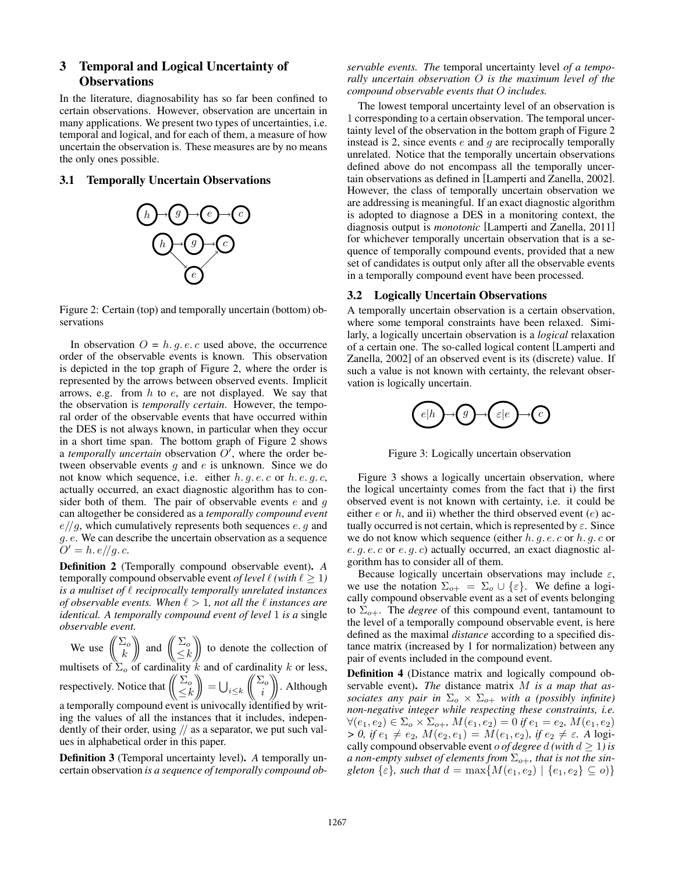## 3 Temporal and Logical Uncertainty of **Observations**

In the literature, diagnosability has so far been confined to certain observations. However, observation are uncertain in many applications. We present two types of uncertainties, i.e. temporal and logical, and for each of them, a measure of how uncertain the observation is. These measures are by no means the only ones possible.

## 3.1 Temporally Uncertain Observations



Figure 2: Certain (top) and temporally uncertain (bottom) observations

In observation  $O = h$ . g. e. c used above, the occurrence order of the observable events is known. This observation is depicted in the top graph of Figure 2, where the order is represented by the arrows between observed events. Implicit arrows, e.g. from *h* to *e*, are not displayed. We say that the observation is *temporally certain*. However, the temporal order of the observable events that have occurred within the DES is not always known, in particular when they occur in a short time span. The bottom graph of Figure 2 shows a *temporally uncertain* observation  $O'$ , where the order between observable events *g* and *e* is unknown. Since we do not know which sequence, i.e. either *h. g. e. c* or *h. e. g. c*, actually occurred, an exact diagnostic algorithm has to consider both of them. The pair of observable events *e* and *g* can altogether be considered as a *temporally compound event e//g*, which cumulatively represents both sequences *e. g* and *g. e*. We can describe the uncertain observation as a sequence  $O' = h.e/\sqrt{g.c.}$ 

Definition 2 (Temporally compound observable event). *A* temporally compound observable event *of level*  $\ell$  *(with*  $\ell > 1$ *) is a multiset of*  $\ell$  *reciprocally temporally unrelated instances of observable events. When*  $\ell > 1$ *, not all the*  $\ell$  *instances are identical. A temporally compound event of level* 1 *is a* single *observable event.*

We use  $\left(\begin{array}{c} \sum_{o} \\ k \end{array}\right)$  and  $\left(\begin{array}{c} \sum_{o} \\ \leq k \end{array}\right)$  $\leq k$  $\parallel$  to denote the collection of multisets of  $\Sigma_o$  of cardinality *k* and of cardinality *k* or less, respectively. Notice that  $\begin{pmatrix} \sum_{o}$  $\leq k$  $\Big\| = \bigcup_{i \leq k}$  $\sqrt{2}$  $\begin{bmatrix} \sum_{o} \\ i \end{bmatrix}$ . Although a temporally compound event is univocally identified by writing the values of all the instances that it includes, independently of their order, using *//* as a separator, we put such values in alphabetical order in this paper.

Definition 3 (Temporal uncertainty level). *A* temporally uncertain observation *is a sequence of temporally compound ob-* *servable events. The* temporal uncertainty level *of a temporally uncertain observation O is the maximum level of the compound observable events that O includes.*

The lowest temporal uncertainty level of an observation is 1 corresponding to a certain observation. The temporal uncertainty level of the observation in the bottom graph of Figure 2 instead is 2, since events *e* and *g* are reciprocally temporally unrelated. Notice that the temporally uncertain observations defined above do not encompass all the temporally uncertain observations as defined in [Lamperti and Zanella, 2002]. However, the class of temporally uncertain observation we are addressing is meaningful. If an exact diagnostic algorithm is adopted to diagnose a DES in a monitoring context, the diagnosis output is *monotonic* [Lamperti and Zanella, 2011] for whichever temporally uncertain observation that is a sequence of temporally compound events, provided that a new set of candidates is output only after all the observable events in a temporally compound event have been processed.

#### 3.2 Logically Uncertain Observations

A temporally uncertain observation is a certain observation, where some temporal constraints have been relaxed. Similarly, a logically uncertain observation is a *logical* relaxation of a certain one. The so-called logical content [Lamperti and Zanella, 2002] of an observed event is its (discrete) value. If such a value is not known with certainty, the relevant observation is logically uncertain.



Figure 3: Logically uncertain observation

Figure 3 shows a logically uncertain observation, where the logical uncertainty comes from the fact that i) the first observed event is not known with certainty, i.e. it could be either *e* or *h*, and ii) whether the third observed event (*e*) actually occurred is not certain, which is represented by  $\varepsilon$ . Since we do not know which sequence (either *h. g. e. c* or *h. g. c* or *e. g. e. c* or *e. g. c*) actually occurred, an exact diagnostic algorithm has to consider all of them.

Because logically uncertain observations may include  $\varepsilon$ , we use the notation  $\Sigma_{o+} = \Sigma_o \cup \{\varepsilon\}$ . We define a logically compound observable event as a set of events belonging to  $\Sigma_{o+}$ . The *degree* of this compound event, tantamount to the level of a temporally compound observable event, is here defined as the maximal *distance* according to a specified distance matrix (increased by 1 for normalization) between any pair of events included in the compound event.

Definition 4 (Distance matrix and logically compound observable event). *The* distance matrix *M is a map that associates any pair in*  $\Sigma_o \times \Sigma_{o+}$  *with a (possibly infinite) non-negative integer while respecting these constraints, i.e.*  $\forall (e_1, e_2) \in \Sigma_o \times \Sigma_{o+}, M(e_1, e_2) = 0$  *if*  $e_1 = e_2, M(e_1, e_2)$  $> 0$ , if  $e_1 \neq e_2$ ,  $M(e_2, e_1) = M(e_1, e_2)$ , if  $e_2 \neq \varepsilon$ . A logically compound observable event *o of degree d* (with  $d \ge 1$ ) is *a non-empty subset of elements from*  $\Sigma_{o+}$ *, that is not the singleton*  $\{\varepsilon\}$ *, such that*  $d = \max\{M(e_1, e_2) | \{e_1, e_2\} \subseteq o\}$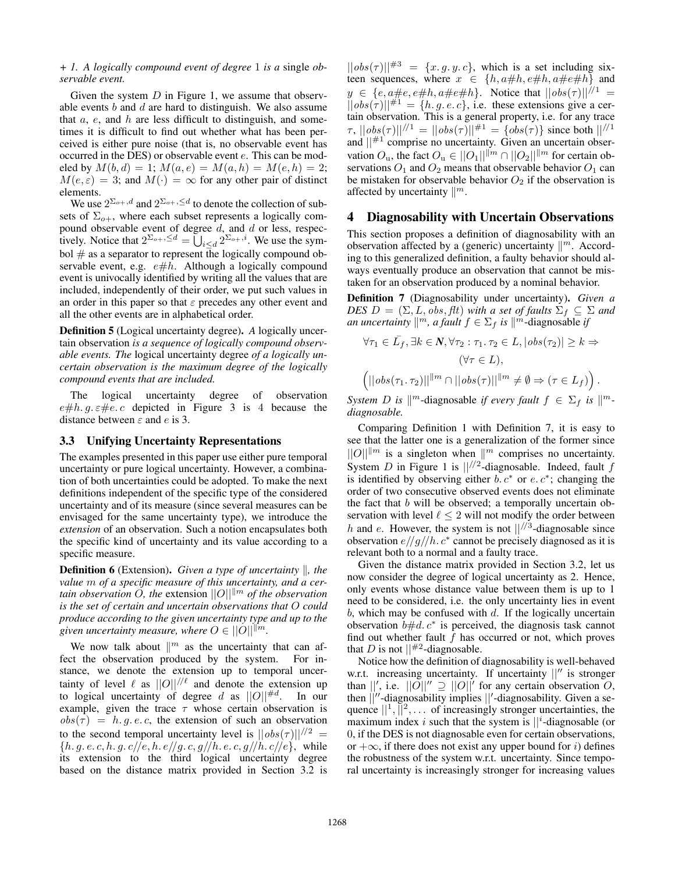#### *+ 1. A logically compound event of degree* 1 *is a* single *observable event.*

Given the system *D* in Figure 1, we assume that observable events *b* and *d* are hard to distinguish. We also assume that *a*, *e*, and *h* are less difficult to distinguish, and sometimes it is difficult to find out whether what has been perceived is either pure noise (that is, no observable event has occurred in the DES) or observable event *e*. This can be modeled by  $M(b, d) = 1$ ;  $M(a, e) = M(a, h) = M(e, h) = 2$ ;  $M(e, \varepsilon) = 3$ ; and  $M(\cdot) = \infty$  for any other pair of distinct elements.

We use  $2^{\sum_{o+1} d}$  and  $2^{\sum_{o+1} \leq d}$  to denote the collection of subsets of  $\Sigma_{o+}$ , where each subset represents a logically compound observable event of degree *d*, and *d* or less, respectively. Notice that  $2^{\sum_{o+1} \le d} = \bigcup_{i \le d} 2^{\sum_{o+1} i}$ . We use the symbol  $#$  as a separator to represent the logically compound observable event, e.g.  $e\#h$ . Although a logically compound event is univocally identified by writing all the values that are included, independently of their order, we put such values in an order in this paper so that  $\varepsilon$  precedes any other event and all the other events are in alphabetical order.

Definition 5 (Logical uncertainty degree). *A* logically uncertain observation *is a sequence of logically compound observable events. The* logical uncertainty degree *of a logically uncertain observation is the maximum degree of the logically compound events that are included.*

The logical uncertainty degree of observation  $e \# h. g. \varepsilon \# e.c$  depicted in Figure 3 is 4 because the distance between  $\varepsilon$  and  $e$  is 3.

#### 3.3 Unifying Uncertainty Representations

The examples presented in this paper use either pure temporal uncertainty or pure logical uncertainty. However, a combination of both uncertainties could be adopted. To make the next definitions independent of the specific type of the considered uncertainty and of its measure (since several measures can be envisaged for the same uncertainty type), we introduce the *extension* of an observation. Such a notion encapsulates both the specific kind of uncertainty and its value according to a specific measure.

**Definition 6** (Extension). *Given a type of uncertainty*  $\parallel$ *, the value m of a specific measure of this uncertainty, and a certain observation O, the extension*  $||O||^{m}$  *of the observation is the set of certain and uncertain observations that O could produce according to the given uncertainty type and up to the given uncertainty measure, where*  $O \in ||O||^{m}$ *.* 

We now talk about  $\mathbb{R}^m$  as the uncertainty that can affect the observation produced by the system. For instance, we denote the extension up to temporal uncertainty of level  $\ell$  as  $||O||^{1/\ell}$  and denote the extension up to logical uncertainty of degree *d* as  $||O||^{#d}$ . In our example, given the trace  $\tau$  whose certain observation is  $obs(\tau) = h.g.e.c$ , the extension of such an observation to the second temporal uncertainty level is  $||obs(\tau)||^{1/2}$ *{h. g. e. c, h. g. c//e, h. e//g. c, g//h. e. c, g//h. c//e}*, while its extension to the third logical uncertainty degree based on the distance matrix provided in Section 3.2 is  $||obs(\tau)||^{43} = \{x, g, y, c\}$ , which is a set including sixteen sequences, where  $x \in \{h, a\#h, e\#h, a\#e\#h\}$  and  $y \in \{e, a \#e, e \#h, a \#e \#h\}$ . Notice that  $||obs(\tau)||^{1/1} =$  $||obs(\tau)||^{H_1} = \{h, q, e, c\}$ , i.e. these extensions give a certain observation. This is a general property, i.e. for any trace  $\tau$ ,  $||obs(\tau)||^{1/1} = ||obs(\tau)||^{1/1} = \{obs(\tau)\}\$  since both  $||^{1/1}$ and  $||^{n+1}$  comprise no uncertainty. Given an uncertain observation  $O_u$ , the fact  $O_u \in ||O_1||^{m} \cap ||O_2||^{m}$  for certain observations  $O_1$  and  $O_2$  means that observable behavior  $O_1$  can be mistaken for observable behavior  $O_2$  if the observation is affected by uncertainty  $\mathbb{R}^m$ .

## 4 Diagnosability with Uncertain Observations

This section proposes a definition of diagnosability with an observation affected by a (generic) uncertainty  $\|$ <sup>m</sup>. According to this generalized definition, a faulty behavior should always eventually produce an observation that cannot be mistaken for an observation produced by a nominal behavior.

Definition 7 (Diagnosability under uncertainty). *Given a DES*  $D = (\Sigma, L, obs, \text{ft})$  *with a set of faults*  $\Sigma_f \subseteq \Sigma$  *and an uncertainty*  $\mathbb{R}^m$ *, a fault*  $f \in \Sigma_f$  *is*  $\mathbb{R}^m$ -diagnosable *if* 

$$
\forall \tau_1 \in \bar{L_f}, \exists k \in \mathbb{N}, \forall \tau_2 : \tau_1. \tau_2 \in L, |\text{obs}(\tau_2)| \geq k \Rightarrow
$$

$$
(\forall \tau \in L),
$$

$$
\left( ||\text{obs}(\tau_1. \tau_2)||^{\parallel m} \cap ||\text{obs}(\tau)||^{\parallel m} \neq \emptyset \Rightarrow (\tau \in L_f) \right).
$$

*System D is*  $\|$ <sup>*m*</sup>-diagnosable *if every fault*  $f \in \Sigma_f$  *is*  $\|$ <sup>*m*</sup>*diagnosable.*

Comparing Definition 1 with Definition 7, it is easy to see that the latter one is a generalization of the former since  $||O||^{m}$  is a singleton when  $||^{m}$  comprises no uncertainty. System *<sup>D</sup>* in Figure 1 is *||//*<sup>2</sup>-diagnosable. Indeed, fault *<sup>f</sup>* is identified by observing either  $b, c^*$  or  $e, c^*$ ; changing the order of two consecutive observed events does not eliminate the fact that *b* will be observed; a temporally uncertain observation with level  $\ell \leq 2$  will not modify the order between *<sup>h</sup>* and *<sup>e</sup>*. However, the system is not *||//*<sup>3</sup>-diagnosable since observation  $e/\frac{g}{h}$ .  $c^*$  cannot be precisely diagnosed as it is relevant both to a normal and a faulty trace.

Given the distance matrix provided in Section 3.2, let us now consider the degree of logical uncertainty as 2. Hence, only events whose distance value between them is up to 1 need to be considered, i.e. the only uncertainty lies in event *b*, which may be confused with *d*. If the logically uncertain observation  $b \# d \cdot c^*$  is perceived, the diagnosis task cannot find out whether fault *f* has occurred or not, which proves that *D* is not  $||^{#2}$ -diagnosable.

Notice how the definition of diagnosability is well-behaved w.r.t. increasing uncertainty. If uncertainty  $||$ <sup>*n*</sup> is stronger than  $||'$ , i.e.  $||O||'' \supseteq ||O||'$  for any certain observation *O*, then  $||''$ -diagnosability implies  $||'$ -diagnosability. Given a sequence  $||^1$ ,  $||^2$ , ... of increasingly stronger uncertainties, the maximum index *i* such that the system is  $||^i$ -diagnosable (or 0, if the DES is not diagnosable even for certain observations, or  $+\infty$ , if there does not exist any upper bound for *i*) defines the robustness of the system w.r.t. uncertainty. Since temporal uncertainty is increasingly stronger for increasing values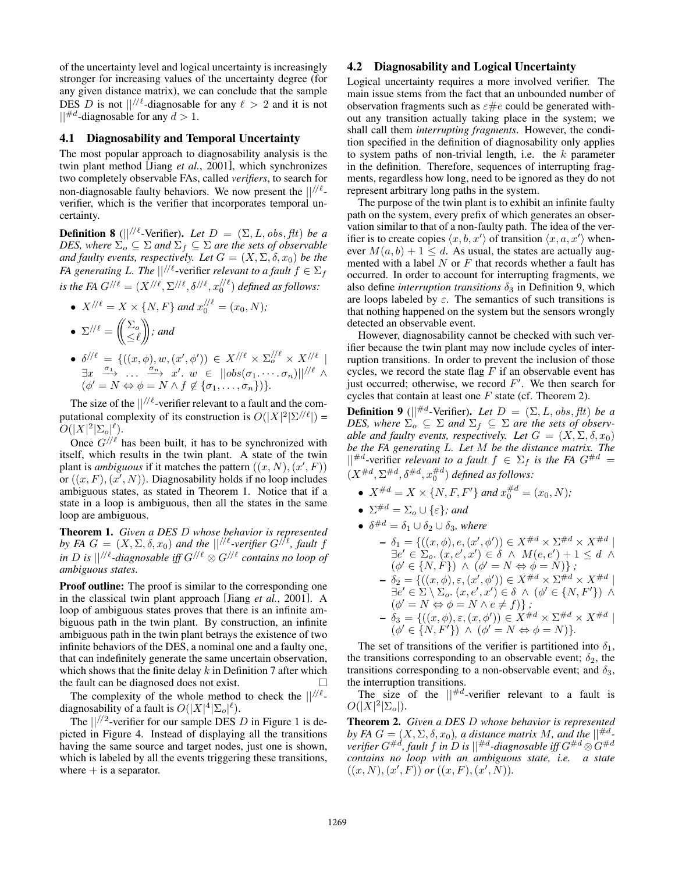of the uncertainty level and logical uncertainty is increasingly stronger for increasing values of the uncertainty degree (for any given distance matrix), we can conclude that the sample DES *D* is not  $||^{/\ell}$ -diagnosable for any  $\ell > 2$  and it is not  $||^{\#d}$ -diagnosable for any  $d > 1$ .

## 4.1 Diagnosability and Temporal Uncertainty

The most popular approach to diagnosability analysis is the twin plant method [Jiang *et al.*, 2001], which synchronizes two completely observable FAs, called *verifiers*, to search for non-diagnosable faulty behaviors. We now present the  $\frac{1}{\ell}$ verifier, which is the verifier that incorporates temporal uncertainty.

**Definition 8** ( $\vert\vert^{1/2}$ -Verifier). Let  $D = (\Sigma, L, obs, \text{ft})$  be a *DES, where*  $\Sigma_o \subseteq \Sigma$  *and*  $\Sigma_f \subseteq \Sigma$  *are the sets of observable and faulty events, respectively. Let*  $G = (X, \Sigma, \delta, x_0)$  *be the FA generating L. The*  $||^{//\ell}$ -verifier *relevant to a fault*  $f \in \Sigma_f$ *is the FA*  $G^{/\ell} = (X^{/\ell}, \Sigma^{/\ell}, \delta^{/\ell}, x_0^{/\ell})$  *defined as follows:* 

\n- \n
$$
X^{//\ell} = X \times \{N, F\}
$$
\n and\n  $x_0^{//\ell} = (x_0, N);$ \n
\n- \n $\sum^{//\ell} = \left(\frac{\sum_{o}}{\leq \ell}\right);$ \n and\n  $\sum^{//\ell} = \frac{\sum_{o} \sum_{o} x_o}{\sum_{o} x_o}$ \n and\n  $\sum^{//\ell} = \frac{\sum_{o} x_o}{\sum_{o} x_o}$ \n and\n  $\sum^{//\ell} = \frac{\sum_{o} x_o}{\sum_{o} x_o}$ \n and\n  $\sum^{//\ell} x_o$ \n and\n  $\sum^{//\ell} x_o$ \n and\n  $\sum^{//\ell} x_o$ \n and\n  $\sum^{//\ell} x_o$ \n and\n  $\sum^{//\ell} x_o$ \n and\n  $\sum^{//\ell} x_o$ \n and\n  $\sum^{//\ell} x_o$ \n and\n  $\sum^{//\ell} x_o$ \n and\n  $\sum^{//\ell} x_o$ \n and\n  $\sum^{//\ell} x_o$ \n and\n  $\sum^{//\ell} x_o$ \n and\n  $\sum^{//\ell} x_o$ \n and\n  $\sum^{//\ell} x_o$ \n and\n  $\sum^{//\ell} x_o$ \n and\n  $\sum^{//\ell} x_o$ \n and\n  $\sum^{//\ell} x_o$ \n and\n  $\sum^{//\ell} x_o$ \n and\n  $\sum^{//\ell} x_o$ \n and\n  $\sum^{//\ell} x_o$ \n and\n  $\sum^{//\ell} x_o$ \n and\n  $\sum^{//\ell} x_o$ \n and\n  $\sum^{//\ell} x_o$ \n and\n  $\sum^{//\ell} x_o$ \n and\n  $\sum^{//\ell} x_o$ \n and\n  $\sum^{//\ell} x_o$ \n and\n  $\sum^{//\ell} x_o$ \n and\n  $\sum^{//\ell} x_o$ \n and\n  $\sum^{//\ell} x_o$ \n and\n  $\sum^{//\ell} x_o$ \n and\n  $\sum^{//\ell$

 $\bullet$   $\delta^{//\ell} = \{((x,\phi), w, (x',\phi')) \in X^{//\ell} \times \Sigma_o^{//\ell} \times X_{oo}^{//\ell}\}$  $\exists x \quad \frac{\sigma_1}{\sigma_2} \quad \dots \quad \frac{\sigma_n}{\sigma_n} \quad x'. \quad w \in ||obs(\sigma_1, \dots, \sigma_n)||^{1/\ell}$  $(\phi' = N \Leftrightarrow \phi = N \wedge f \notin {\sigma_1, \ldots, \sigma_n})$ 

The size of the  $||^{//\ell}$ -verifier relevant to a fault and the computational complexity of its construction is  $O(|X|^2|\Sigma^{1/\ell}|) =$  $O(|X|^2|\Sigma_o|^{\ell}).$ 

Once  $G^{/\!/ \ell}$  has been built, it has to be synchronized with itself, which results in the twin plant. A state of the twin plant is *ambiguous* if it matches the pattern  $((x, N), (x', F))$ or  $((x, F), (x', N))$ . Diagnosability holds if no loop includes ambiguous states, as stated in Theorem 1. Notice that if a state in a loop is ambiguous, then all the states in the same loop are ambiguous.

Theorem 1. *Given a DES D whose behavior is represented by FA*  $G = (X, \Sigma, \delta, x_0)$  *and the*  $||^{//\ell}$ -verifier  $G^{//\ell}$ , fault f *in D* is  $||^{//\ell}$ -diagnosable iff  $G^{//\ell} \otimes G^{//\ell}$  contains no loop of *ambiguous states.*

**Proof outline:** The proof is similar to the corresponding one in the classical twin plant approach [Jiang *et al.*, 2001]. A loop of ambiguous states proves that there is an infinite ambiguous path in the twin plant. By construction, an infinite ambiguous path in the twin plant betrays the existence of two infinite behaviors of the DES, a nominal one and a faulty one, that can indefinitely generate the same uncertain observation, which shows that the finite delay *k* in Definition 7 after which the fault can be diagnosed does not exist.  $\Box$ 

The complexity of the whole method to check the  $\frac{1}{\ell}$ diagnosability of a fault is  $O(|X|^4 |\Sigma_o|^{\ell})$ .

The  $\frac{1}{2}$ -verifier for our sample DES *D* in Figure 1 is depicted in Figure 4. Instead of displaying all the transitions having the same source and target nodes, just one is shown, which is labeled by all the events triggering these transitions, where  $+$  is a separator.

## 4.2 Diagnosability and Logical Uncertainty

Logical uncertainty requires a more involved verifier. The main issue stems from the fact that an unbounded number of observation fragments such as  $\varepsilon \#e$  could be generated without any transition actually taking place in the system; we shall call them *interrupting fragments*. However, the condition specified in the definition of diagnosability only applies to system paths of non-trivial length, i.e. the *k* parameter in the definition. Therefore, sequences of interrupting fragments, regardless how long, need to be ignored as they do not represent arbitrary long paths in the system.

The purpose of the twin plant is to exhibit an infinite faulty path on the system, every prefix of which generates an observation similar to that of a non-faulty path. The idea of the verifier is to create copies  $\langle x, b, x' \rangle$  of transition  $\langle x, a, x' \rangle$  whenever  $M(a, b) + 1 \le d$ . As usual, the states are actually augmented with a label *N* or *F* that records whether a fault has occurred. In order to account for interrupting fragments, we also define *interruption transitions*  $\delta_3$  in Definition 9, which are loops labeled by  $\varepsilon$ . The semantics of such transitions is that nothing happened on the system but the sensors wrongly detected an observable event.

However, diagnosability cannot be checked with such verifier because the twin plant may now include cycles of interruption transitions. In order to prevent the inclusion of those cycles, we record the state flag *F* if an observable event has just occurred; otherwise, we record  $F'$ . We then search for cycles that contain at least one *F* state (cf. Theorem 2).

**Definition 9** ( $\vert \vert^{#d}$ -Verifier). Let  $D = (\Sigma, L, obs, \text{ft})$  be a *DES, where*  $\Sigma_o \subseteq \Sigma$  *and*  $\Sigma_f \subseteq \Sigma$  *are the sets of observable and faulty events, respectively. Let*  $G = (X, \Sigma, \delta, x_0)$ *be the FA generating L. Let M be the distance matrix. The*  $||^{#d}$ -verifier *relevant to a fault*  $f \in \Sigma_f$  *is the FA*  $G^{#d} =$  $(X^{\#d}, \Sigma^{\#d}, \delta^{\#d}, x_0^{\#d})$  defined as follows:

- $X^{\#d} = X \times \{N, F, F'\}$  and  $x_0^{\#d} = (x_0, N)$ ;
- $\Sigma^{\#d} = \Sigma_o \cup {\{\varepsilon\}}$ *; and*
- $\delta^{\#d} = \delta_1 \cup \delta_2 \cup \delta_3$ , where  $-\delta_1 = \{((x, \phi), e, (x', \phi')) \in X^{\#d} \times \Sigma^{\#d} \times X^{\#d} \mid$  $\exists e' \in \Sigma_o$ .  $(x, e', x') \in \delta \land M(e, e') + 1 \leq d \land$  $(\phi' \in \{N, F\}) \land (\phi' = N \Leftrightarrow \phi = N) \};$  $-\delta_2 = \{((x,\phi), \varepsilon, (x',\phi')) \in X^{\#d} \times \Sigma^{\#d} \times X^{\#d} \mid$  $\exists e' \in \Sigma \setminus \Sigma_o$ ,  $(x, e', x') \in \delta \land (\phi' \in \{N, F'\}) \land$  $(\phi' = N \Leftrightarrow \phi = N \wedge e \neq f)$  *;*  $-\delta_3 = \{((x,\phi), \varepsilon, (x,\phi')) \in X^{\#d} \times \Sigma^{\#d} \times X^{\#d} \mid$  $(\phi' \in \{N, F'\}) \land (\phi' = N \Leftrightarrow \phi = N)\}.$

The set of transitions of the verifier is partitioned into  $\delta_1$ , the transitions corresponding to an observable event;  $\delta_2$ , the transitions corresponding to a non-observable event; and  $\delta_3$ , the interruption transitions.

The size of the  $||^{\#d}$ -verifier relevant to a fault is  $O(|X|^2|\Sigma_o|).$ 

Theorem 2. *Given a DES D whose behavior is represented by FA*  $G = (X, \Sigma, \delta, x_0)$ , *a distance matrix M*, *and the*  $||^{\#d}$ *verifier*  $G^{\#d}$ *, fault f* in *D* is  $||^{\#d}$ -diagnosable iff  $G^{\#d} \otimes G^{\#d}$ *contains no loop with an ambiguous state, i.e. a state*  $((x, N), (x', F))$  or  $((x, F), (x', N))$ .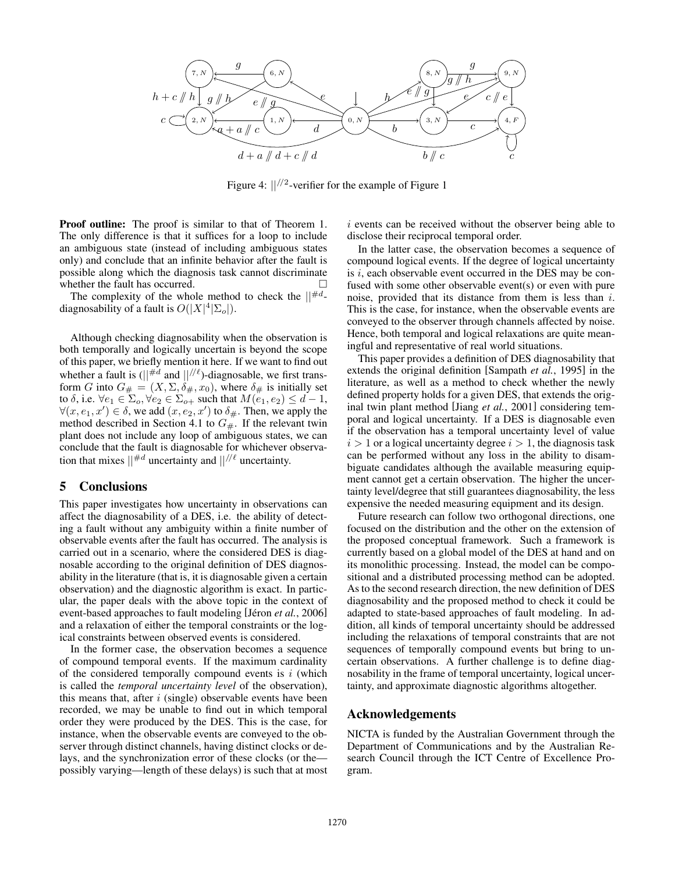

Figure 4: *||//*<sup>2</sup>-verifier for the example of Figure 1

Proof outline: The proof is similar to that of Theorem 1. The only difference is that it suffices for a loop to include an ambiguous state (instead of including ambiguous states only) and conclude that an infinite behavior after the fault is possible along which the diagnosis task cannot discriminate whether the fault has occurred.

The complexity of the whole method to check the *||*#*<sup>d</sup>*diagnosability of a fault is  $O(|X|^4|\Sigma_o|)$ .

Although checking diagnosability when the observation is both temporally and logically uncertain is beyond the scope of this paper, we briefly mention it here. If we want to find out whether a fault is  $(||^{\#d}$  and  $||^{//\ell}$ )-diagnosable, we first transform *G* into  $G_{\#} = (X, \Sigma, \delta_{\#,}, x_0)$ , where  $\delta_{\#}$  is initially set to  $\delta$ , i.e.  $\forall e_1 \in \Sigma_o, \forall e_2 \in \Sigma_{o+}$  such that  $M(e_1, e_2) \leq d - 1$ ,  $\forall (x, e_1, x') \in \delta$ , we add  $(x, e_2, x')$  to  $\delta_{\#}$ . Then, we apply the method described in Section 4.1 to  $G_{\#}$ . If the relevant twin plant does not include any loop of ambiguous states, we can conclude that the fault is diagnosable for whichever observation that mixes  $||^{\#d}$  uncertainty and  $||^{/\ell}$  uncertainty.

#### 5 Conclusions

This paper investigates how uncertainty in observations can affect the diagnosability of a DES, i.e. the ability of detecting a fault without any ambiguity within a finite number of observable events after the fault has occurred. The analysis is carried out in a scenario, where the considered DES is diagnosable according to the original definition of DES diagnosability in the literature (that is, it is diagnosable given a certain observation) and the diagnostic algorithm is exact. In particular, the paper deals with the above topic in the context of event-based approaches to fault modeling [Jéron *et al.*, 2006] and a relaxation of either the temporal constraints or the logical constraints between observed events is considered.

In the former case, the observation becomes a sequence of compound temporal events. If the maximum cardinality of the considered temporally compound events is *i* (which is called the *temporal uncertainty level* of the observation), this means that, after *i* (single) observable events have been recorded, we may be unable to find out in which temporal order they were produced by the DES. This is the case, for instance, when the observable events are conveyed to the observer through distinct channels, having distinct clocks or delays, and the synchronization error of these clocks (or the possibly varying—length of these delays) is such that at most *i* events can be received without the observer being able to disclose their reciprocal temporal order.

In the latter case, the observation becomes a sequence of compound logical events. If the degree of logical uncertainty is *i*, each observable event occurred in the DES may be confused with some other observable event(s) or even with pure noise, provided that its distance from them is less than *i*. This is the case, for instance, when the observable events are conveyed to the observer through channels affected by noise. Hence, both temporal and logical relaxations are quite meaningful and representative of real world situations.

This paper provides a definition of DES diagnosability that extends the original definition [Sampath *et al.*, 1995] in the literature, as well as a method to check whether the newly defined property holds for a given DES, that extends the original twin plant method [Jiang *et al.*, 2001] considering temporal and logical uncertainty. If a DES is diagnosable even if the observation has a temporal uncertainty level of value  $i > 1$  or a logical uncertainty degree  $i > 1$ , the diagnosis task can be performed without any loss in the ability to disambiguate candidates although the available measuring equipment cannot get a certain observation. The higher the uncertainty level/degree that still guarantees diagnosability, the less expensive the needed measuring equipment and its design.

Future research can follow two orthogonal directions, one focused on the distribution and the other on the extension of the proposed conceptual framework. Such a framework is currently based on a global model of the DES at hand and on its monolithic processing. Instead, the model can be compositional and a distributed processing method can be adopted. As to the second research direction, the new definition of DES diagnosability and the proposed method to check it could be adapted to state-based approaches of fault modeling. In addition, all kinds of temporal uncertainty should be addressed including the relaxations of temporal constraints that are not sequences of temporally compound events but bring to uncertain observations. A further challenge is to define diagnosability in the frame of temporal uncertainty, logical uncertainty, and approximate diagnostic algorithms altogether.

## Acknowledgements

NICTA is funded by the Australian Government through the Department of Communications and by the Australian Research Council through the ICT Centre of Excellence Program.